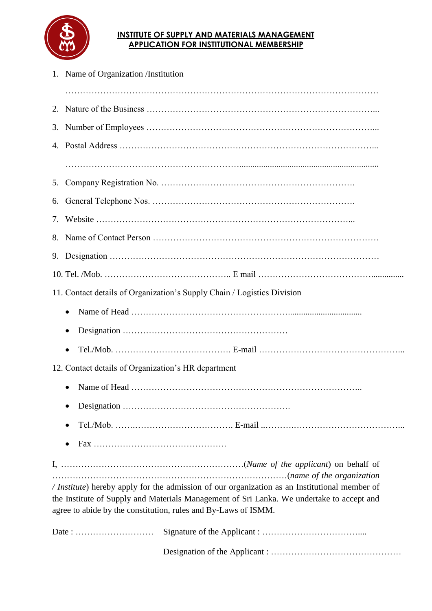

## **INSTITUTE OF SUPPLY AND MATERIALS MANAGEMENT APPLICATION FOR INSTITUTIONAL MEMBERSHIP**

| 1. Name of Organization /Institution                                                                                                                                                                                                                         |  |  |
|--------------------------------------------------------------------------------------------------------------------------------------------------------------------------------------------------------------------------------------------------------------|--|--|
|                                                                                                                                                                                                                                                              |  |  |
|                                                                                                                                                                                                                                                              |  |  |
|                                                                                                                                                                                                                                                              |  |  |
|                                                                                                                                                                                                                                                              |  |  |
|                                                                                                                                                                                                                                                              |  |  |
|                                                                                                                                                                                                                                                              |  |  |
|                                                                                                                                                                                                                                                              |  |  |
|                                                                                                                                                                                                                                                              |  |  |
|                                                                                                                                                                                                                                                              |  |  |
| 11. Contact details of Organization's Supply Chain / Logistics Division                                                                                                                                                                                      |  |  |
|                                                                                                                                                                                                                                                              |  |  |
| $\bullet$                                                                                                                                                                                                                                                    |  |  |
| $\bullet$                                                                                                                                                                                                                                                    |  |  |
| 12. Contact details of Organization's HR department                                                                                                                                                                                                          |  |  |
|                                                                                                                                                                                                                                                              |  |  |
|                                                                                                                                                                                                                                                              |  |  |
|                                                                                                                                                                                                                                                              |  |  |
|                                                                                                                                                                                                                                                              |  |  |
|                                                                                                                                                                                                                                                              |  |  |
| / Institute) hereby apply for the admission of our organization as an Institutional member of<br>the Institute of Supply and Materials Management of Sri Lanka. We undertake to accept and<br>agree to abide by the constitution, rules and By-Laws of ISMM. |  |  |
|                                                                                                                                                                                                                                                              |  |  |
|                                                                                                                                                                                                                                                              |  |  |